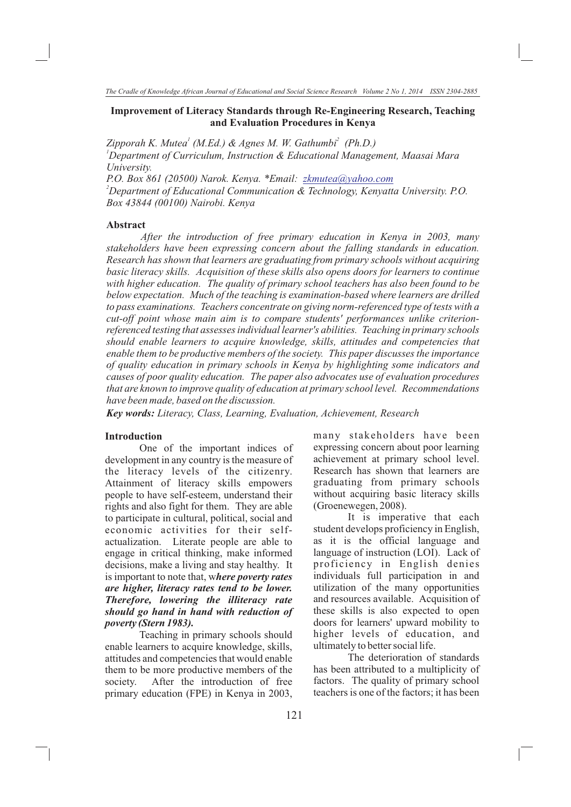# **Improvement of Literacy Standards through Re-Engineering Research, Teaching and Evaluation Procedures in Kenya**

Zipporah K. Mutea<sup>1</sup> (M.Ed.) & Agnes M. W. Gathumbi<sup>2</sup> (Ph.D.) *<sup>1</sup>Department of Curriculum, Instruction & Educational Management, Maasai Mara University.* 

*P.O. Box 861 (20500) Narok. Kenya. \*Email: zkmutea@yahoo.com <sup>2</sup>Department of Educational Communication & Technology, Kenyatta University. P.O. Box 43844 (00100) Nairobi. Kenya*

# **Abstract**

*After the introduction of free primary education in Kenya in 2003, many stakeholders have been expressing concern about the falling standards in education. Research has shown that learners are graduating from primary schools without acquiring basic literacy skills. Acquisition of these skills also opens doors for learners to continue with higher education. The quality of primary school teachers has also been found to be below expectation. Much of the teaching is examination-based where learners are drilled to pass examinations. Teachers concentrate on giving norm-referenced type of tests with a cut-off point whose main aim is to compare students' performances unlike criterionreferenced testing that assesses individual learner's abilities. Teaching in primary schools should enable learners to acquire knowledge, skills, attitudes and competencies that enable them to be productive members of the society. This paper discusses the importance of quality education in primary schools in Kenya by highlighting some indicators and causes of poor quality education. The paper also advocates use of evaluation procedures that are known to improve quality of education at primary school level. Recommendations have been made, based on the discussion.*

*Key words: Literacy, Class, Learning, Evaluation, Achievement, Research*

#### **Introduction**

One of the important indices of development in any country is the measure of the literacy levels of the citizenry. Attainment of literacy skills empowers people to have self-esteem, understand their rights and also fight for them. They are able to participate in cultural, political, social and economic activities for their selfactualization. Literate people are able to engage in critical thinking, make informed decisions, make a living and stay healthy. It is important to note that, w*here poverty rates are higher, literacy rates tend to be lower. Therefore, lowering the illiteracy rate should go hand in hand with reduction of poverty (Stern 1983).*

Teaching in primary schools should enable learners to acquire knowledge, skills, attitudes and competencies that would enable them to be more productive members of the society. After the introduction of free primary education (FPE) in Kenya in 2003,

many stakeholders have been expressing concern about poor learning achievement at primary school level. Research has shown that learners are graduating from primary schools without acquiring basic literacy skills (Groenewegen, 2008).

It is imperative that each student develops proficiency in English, as it is the official language and language of instruction (LOI). Lack of proficiency in English denies individuals full participation in and utilization of the many opportunities and resources available. Acquisition of these skills is also expected to open doors for learners' upward mobility to higher levels of education, and ultimately to better social life.

The deterioration of standards has been attributed to a multiplicity of factors. The quality of primary school teachers is one of the factors; it has been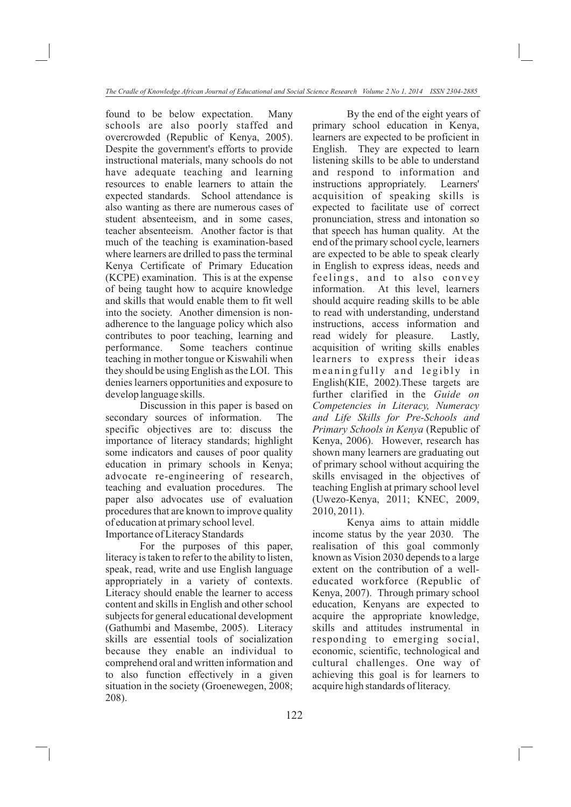found to be below expectation. Many schools are also poorly staffed and overcrowded (Republic of Kenya, 2005). Despite the government's efforts to provide instructional materials, many schools do not have adequate teaching and learning resources to enable learners to attain the expected standards. School attendance is also wanting as there are numerous cases of student absenteeism, and in some cases, teacher absenteeism. Another factor is that much of the teaching is examination-based where learners are drilled to pass the terminal Kenya Certificate of Primary Education (KCPE) examination. This is at the expense of being taught how to acquire knowledge and skills that would enable them to fit well into the society. Another dimension is nonadherence to the language policy which also contributes to poor teaching, learning and performance. Some teachers continue teaching in mother tongue or Kiswahili when they should be using English as the LOI. This denies learners opportunities and exposure to develop language skills.

Discussion in this paper is based on secondary sources of information. The specific objectives are to: discuss the importance of literacy standards; highlight some indicators and causes of poor quality education in primary schools in Kenya; advocate re-engineering of research, teaching and evaluation procedures. The paper also advocates use of evaluation procedures that are known to improve quality of education at primary school level. Importance of Literacy Standards

For the purposes of this paper, literacy is taken to refer to the ability to listen, speak, read, write and use English language appropriately in a variety of contexts. Literacy should enable the learner to access content and skills in English and other school subjects for general educational development (Gathumbi and Masembe, 2005). Literacy skills are essential tools of socialization because they enable an individual to comprehend oral and written information and to also function effectively in a given situation in the society (Groenewegen, 2008; 208).

By the end of the eight years of primary school education in Kenya, learners are expected to be proficient in English. They are expected to learn listening skills to be able to understand and respond to information and instructions appropriately. Learners' acquisition of speaking skills is expected to facilitate use of correct pronunciation, stress and intonation so that speech has human quality. At the end of the primary school cycle, learners are expected to be able to speak clearly in English to express ideas, needs and feelings, and to also convey information. At this level, learners should acquire reading skills to be able to read with understanding, understand instructions, access information and read widely for pleasure. Lastly, acquisition of writing skills enables learners to express their ideas meaning fully and legibly in English(KIE, 2002).These targets are further clarified in the *Guide on Competencies in Literacy, Numeracy and Life Skills for Pre-Schools and Primary Schools in Kenya* (Republic of Kenya, 2006). However, research has shown many learners are graduating out of primary school without acquiring the skills envisaged in the objectives of teaching English at primary school level (Uwezo-Kenya, 2011; KNEC, 2009, 2010, 2011).

Kenya aims to attain middle income status by the year 2030. The realisation of this goal commonly known as Vision 2030 depends to a large extent on the contribution of a welleducated workforce (Republic of Kenya, 2007). Through primary school education, Kenyans are expected to acquire the appropriate knowledge, skills and attitudes instrumental in responding to emerging social, economic, scientific, technological and cultural challenges. One way of achieving this goal is for learners to acquire high standards of literacy.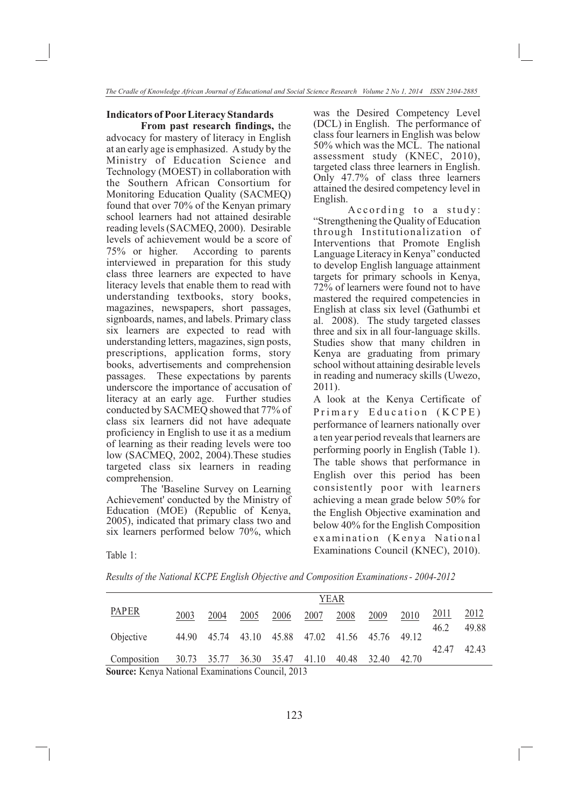#### **Indicators of Poor Literacy Standards**

**From past research findings,** the advocacy for mastery of literacy in English at an early age is emphasized. A study by the Ministry of Education Science and Technology (MOEST) in collaboration with the Southern African Consortium for Monitoring Education Quality (SACMEQ) found that over 70% of the Kenyan primary school learners had not attained desirable reading levels (SACMEQ, 2000). Desirable levels of achievement would be a score of 75% or higher. According to parents interviewed in preparation for this study class three learners are expected to have literacy levels that enable them to read with understanding textbooks, story books, magazines, newspapers, short passages, signboards, names, and labels. Primary class six learners are expected to read with understanding letters, magazines, sign posts, prescriptions, application forms, story books, advertisements and comprehension passages. These expectations by parents underscore the importance of accusation of literacy at an early age. Further studies conducted by SACMEQ showed that 77% of class six learners did not have adequate proficiency in English to use it as a medium of learning as their reading levels were too low (SACMEQ, 2002, 2004).These studies targeted class six learners in reading comprehension.

The 'Baseline Survey on Learning Achievement' conducted by the Ministry of Education (MOE) (Republic of Kenya, 2005), indicated that primary class two and six learners performed below 70%, which was the Desired Competency Level (DCL) in English. The performance of class four learners in English was below 50% which was the MCL. The national assessment study (KNEC, 2010), targeted class three learners in English. Only 47.7% of class three learners attained the desired competency level in English.

According to a study: "Strengthening the Quality of Education through Institutionalization of Interventions that Promote English Language Literacy in Kenya" conducted to develop English language attainment targets for primary schools in Kenya, 72% of learners were found not to have mastered the required competencies in English at class six level (Gathumbi et al. 2008). The study targeted classes three and six in all four-language skills. Studies show that many children in Kenya are graduating from primary school without attaining desirable levels in reading and numeracy skills (Uwezo, 2011).

A look at the Kenya Certificate of Primary Education (KCPE) performance of learners nationally over a ten year period reveals that learners are performing poorly in English (Table 1). The table shows that performance in English over this period has been consistently poor with learners achieving a mean grade below 50% for the English Objective examination and below 40% for the English Composition examination (Kenya National Examinations Council (KNEC), 2010). Table 1:

*Results of the National KCPE English Objective and Composition Examinations - 2004-2012*

|                                                  | YEAR |      |      |      |                               |       |                   |       |             |               |
|--------------------------------------------------|------|------|------|------|-------------------------------|-------|-------------------|-------|-------------|---------------|
| <b>PAPER</b>                                     | 2003 | 2004 | 2005 | 2006 | 2007                          | 2008  | 2009              | 2010  | <u>2011</u> | <u> 2012 </u> |
|                                                  |      |      |      |      |                               |       |                   |       | 46.2        | 49.88         |
| Objective                                        |      |      |      |      | 44.90 45.74 43.10 45.88 47.02 |       | 41.56 45.76 49.12 |       |             |               |
|                                                  |      |      |      |      |                               |       |                   |       | 42.47       | 42.43         |
| Composition 30.73 35.77 36.30 35.47 41.10        |      |      |      |      |                               | 40.48 | 32.40             | 42.70 |             |               |
| Source: Kenya National Examinations Council 2013 |      |      |      |      |                               |       |                   |       |             |               |

**Source:** Kenya National Examinations Council, 2013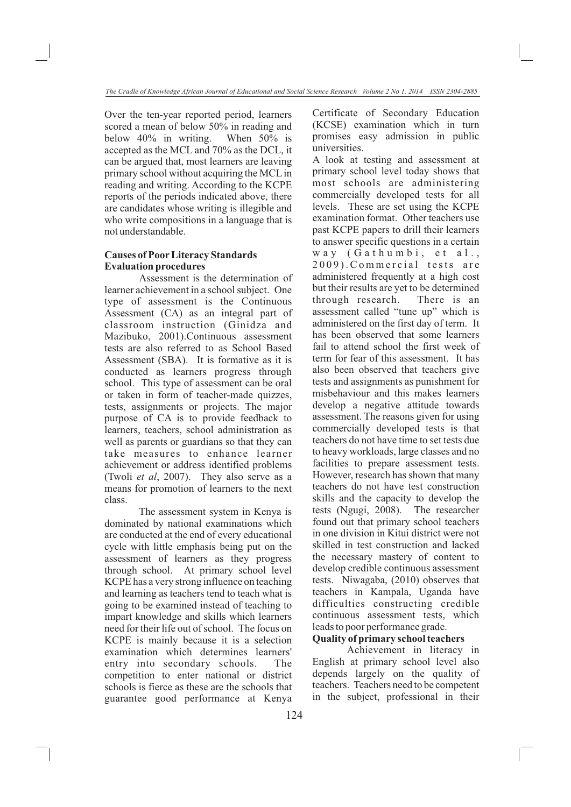Over the ten-year reported period, learners scored a mean of below 50% in reading and below 40% in writing. When 50% is accepted as the MCL and 70% as the DCL, it can be argued that, most learners are leaving primary school without acquiring the MCL in reading and writing. According to the KCPE reports of the periods indicated above, there are candidates whose writing is illegible and who write compositions in a language that is not understandable.

# **Causes of Poor Literacy Standards Evaluation procedures**

Assessment is the determination of learner achievement in a school subject. One type of assessment is the Continuous Assessment (CA) as an integral part of classroom instruction (Ginidza and Mazibuko, 2001).Continuous assessment tests are also referred to as School Based Assessment (SBA). It is formative as it is conducted as learners progress through school. This type of assessment can be oral or taken in form of teacher-made quizzes, tests, assignments or projects. The major purpose of CA is to provide feedback to learners, teachers, school administration as well as parents or guardians so that they can take measures to enhance learner achievement or address identified problems (Twoli *et al*, 2007). They also serve as a means for promotion of learners to the next class.

The assessment system in Kenya is dominated by national examinations which are conducted at the end of every educational cycle with little emphasis being put on the assessment of learners as they progress through school. At primary school level KCPE has a very strong influence on teaching and learning as teachers tend to teach what is going to be examined instead of teaching to impart knowledge and skills which learners need for their life out of school. The focus on KCPE is mainly because it is a selection examination which determines learners' entry into secondary schools. The competition to enter national or district schools is fierce as these are the schools that guarantee good performance at Kenya Certificate of Secondary Education (KCSE) examination which in turn promises easy admission in public universities.

A look at testing and assessment at primary school level today shows that most schools are administering commercially developed tests for all levels. These are set using the KCPE examination format. Other teachers use past KCPE papers to drill their learners to answer specific questions in a certain way (Gathumbi, et al., 2009). Commercial tests are administered frequently at a high cost but their results are yet to be determined through research. There is an assessment called "tune up" which is administered on the first day of term. It has been observed that some learners fail to attend school the first week of term for fear of this assessment. It has also been observed that teachers give tests and assignments as punishment for misbehaviour and this makes learners develop a negative attitude towards assessment. The reasons given for using commercially developed tests is that teachers do not have time to set tests due to heavy workloads, large classes and no facilities to prepare assessment tests. However, research has shown that many teachers do not have test construction skills and the capacity to develop the tests (Ngugi, 2008). The researcher found out that primary school teachers in one division in Kitui district were not skilled in test construction and lacked the necessary mastery of content to develop credible continuous assessment tests. Niwagaba, (2010) observes that teachers in Kampala, Uganda have difficulties constructing credible continuous assessment tests, which leads to poor performance grade.

# **Quality of primary school teachers**

Achievement in literacy in English at primary school level also depends largely on the quality of teachers. Teachers need to be competent in the subject, professional in their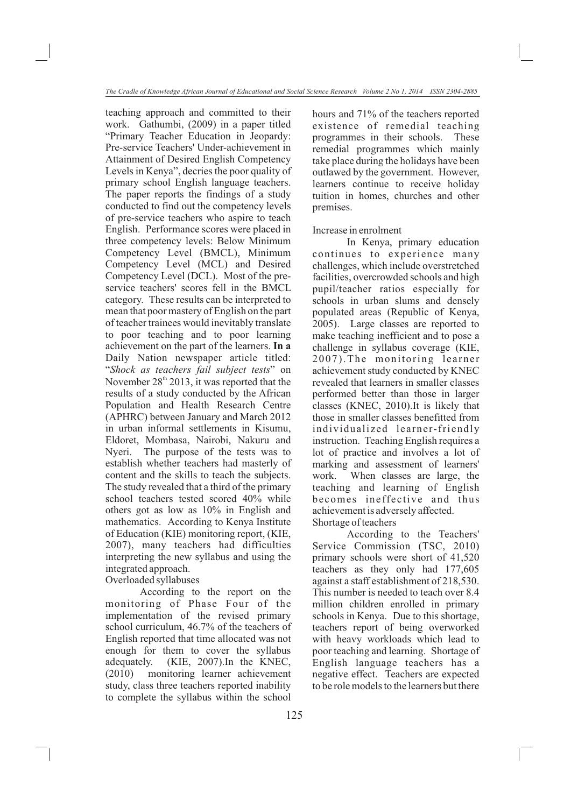teaching approach and committed to their work. Gathumbi, (2009) in a paper titled "Primary Teacher Education in Jeopardy: Pre-service Teachers' Under-achievement in Attainment of Desired English Competency Levels in Kenya", decries the poor quality of primary school English language teachers. The paper reports the findings of a study conducted to find out the competency levels of pre-service teachers who aspire to teach English. Performance scores were placed in three competency levels: Below Minimum Competency Level (BMCL), Minimum Competency Level (MCL) and Desired Competency Level (DCL). Most of the preservice teachers' scores fell in the BMCL category. These results can be interpreted to mean that poor mastery of English on the part of teacher trainees would inevitably translate to poor teaching and to poor learning achievement on the part of the learners. **In a**  Daily Nation newspaper article titled: "*Shock as teachers fail subject tests*" on November  $28<sup>th</sup> 2013$ , it was reported that the results of a study conducted by the African Population and Health Research Centre (APHRC) between January and March 2012 in urban informal settlements in Kisumu, Eldoret, Mombasa, Nairobi, Nakuru and Nyeri. The purpose of the tests was to establish whether teachers had masterly of content and the skills to teach the subjects. The study revealed that a third of the primary school teachers tested scored 40% while others got as low as 10% in English and mathematics. According to Kenya Institute of Education (KIE) monitoring report, (KIE, 2007), many teachers had difficulties interpreting the new syllabus and using the integrated approach. Overloaded syllabuses

According to the report on the monitoring of Phase Four of the implementation of the revised primary school curriculum, 46.7% of the teachers of English reported that time allocated was not enough for them to cover the syllabus adequately. (KIE, 2007).In the KNEC, (2010) monitoring learner achievement study, class three teachers reported inability to complete the syllabus within the school

hours and 71% of the teachers reported existence of remedial teaching programmes in their schools. These remedial programmes which mainly take place during the holidays have been outlawed by the government. However, learners continue to receive holiday tuition in homes, churches and other premises.

# Increase in enrolment

In Kenya, primary education continues to experience many challenges, which include overstretched facilities, overcrowded schools and high pupil/teacher ratios especially for schools in urban slums and densely populated areas (Republic of Kenya, 2005). Large classes are reported to make teaching inefficient and to pose a challenge in syllabus coverage (KIE, 2007).The monitoring learner achievement study conducted by KNEC revealed that learners in smaller classes performed better than those in larger classes (KNEC, 2010).It is likely that those in smaller classes benefitted from individualized learner-friendly instruction. Teaching English requires a lot of practice and involves a lot of marking and assessment of learners' work. When classes are large, the teaching and learning of English becomes ineffective and thus achievement is adversely affected. Shortage of teachers

According to the Teachers' Service Commission (TSC, 2010) primary schools were short of 41,520 teachers as they only had 177,605 against a staff establishment of 218,530. This number is needed to teach over 8.4 million children enrolled in primary schools in Kenya. Due to this shortage, teachers report of being overworked with heavy workloads which lead to poor teaching and learning. Shortage of English language teachers has a negative effect. Teachers are expected to be role models to the learners but there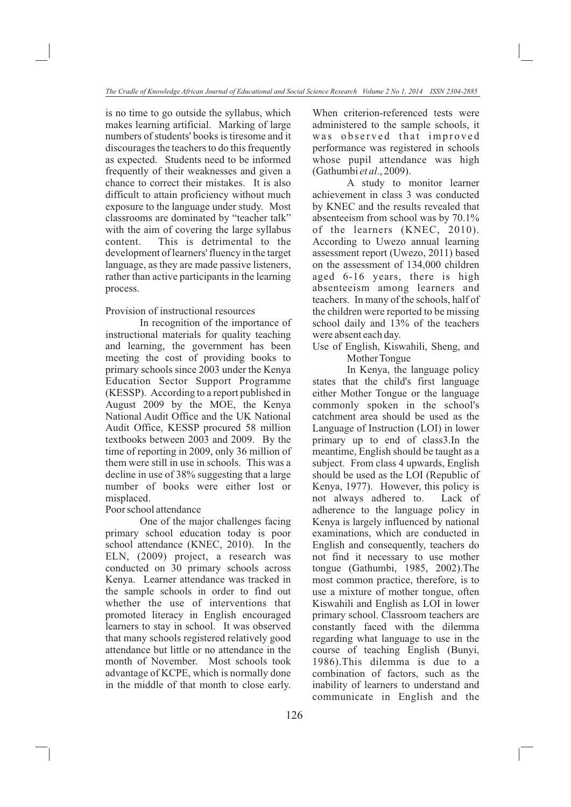is no time to go outside the syllabus, which makes learning artificial. Marking of large numbers of students' books is tiresome and it discourages the teachers to do this frequently as expected. Students need to be informed frequently of their weaknesses and given a chance to correct their mistakes. It is also difficult to attain proficiency without much exposure to the language under study. Most classrooms are dominated by "teacher talk" with the aim of covering the large syllabus content. This is detrimental to the development of learners' fluency in the target language, as they are made passive listeners, rather than active participants in the learning process.

Provision of instructional resources

In recognition of the importance of instructional materials for quality teaching and learning, the government has been meeting the cost of providing books to primary schools since 2003 under the Kenya Education Sector Support Programme (KESSP). According to a report published in August 2009 by the MOE, the Kenya National Audit Office and the UK National Audit Office, KESSP procured 58 million textbooks between 2003 and 2009. By the time of reporting in 2009, only 36 million of them were still in use in schools. This was a decline in use of 38% suggesting that a large number of books were either lost or misplaced.

# Poor school attendance

One of the major challenges facing primary school education today is poor school attendance (KNEC, 2010). In the ELN, (2009) project, a research was conducted on 30 primary schools across Kenya. Learner attendance was tracked in the sample schools in order to find out whether the use of interventions that promoted literacy in English encouraged learners to stay in school. It was observed that many schools registered relatively good attendance but little or no attendance in the month of November. Most schools took advantage of KCPE, which is normally done in the middle of that month to close early. When criterion-referenced tests were administered to the sample schools, it was observed that improved performance was registered in schools whose pupil attendance was high (Gathumbi *et al*., 2009).

A study to monitor learner achievement in class 3 was conducted by KNEC and the results revealed that absenteeism from school was by 70.1% of the learners (KNEC, 2010). According to Uwezo annual learning assessment report (Uwezo, 2011) based on the assessment of 134,000 children aged 6-16 years, there is high absenteeism among learners and teachers. In many of the schools, half of the children were reported to be missing school daily and 13% of the teachers were absent each day.

Use of English, Kiswahili, Sheng, and Mother Tongue

In Kenya, the language policy states that the child's first language either Mother Tongue or the language commonly spoken in the school's catchment area should be used as the Language of Instruction (LOI) in lower primary up to end of class3.In the meantime, English should be taught as a subject. From class 4 upwards, English should be used as the LOI (Republic of Kenya, 1977). However, this policy is not always adhered to. Lack of adherence to the language policy in Kenya is largely influenced by national examinations, which are conducted in English and consequently, teachers do not find it necessary to use mother tongue (Gathumbi, 1985, 2002).The most common practice, therefore, is to use a mixture of mother tongue, often Kiswahili and English as LOI in lower primary school. Classroom teachers are constantly faced with the dilemma regarding what language to use in the course of teaching English (Bunyi, 1986).This dilemma is due to a combination of factors, such as the inability of learners to understand and communicate in English and the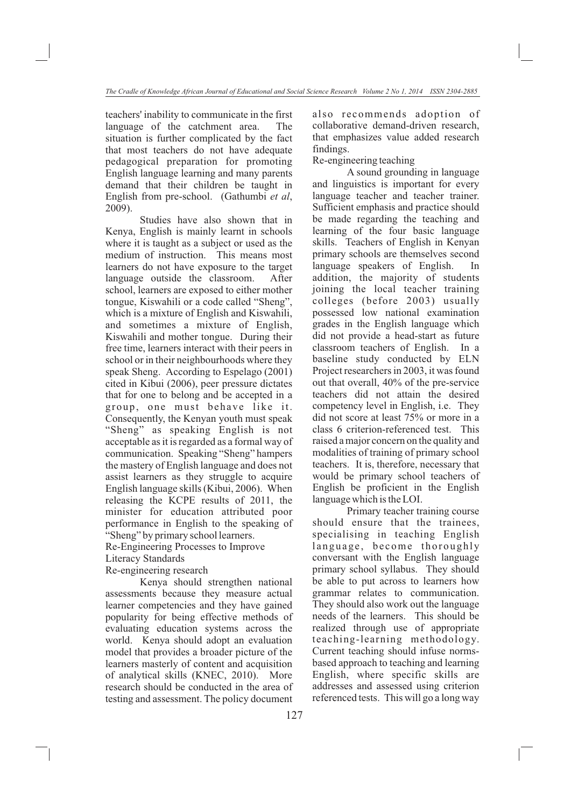teachers' inability to communicate in the first language of the catchment area. The situation is further complicated by the fact that most teachers do not have adequate pedagogical preparation for promoting English language learning and many parents demand that their children be taught in English from pre-school. (Gathumbi *et al*, 2009).

Studies have also shown that in Kenya, English is mainly learnt in schools where it is taught as a subject or used as the medium of instruction. This means most learners do not have exposure to the target language outside the classroom. After school, learners are exposed to either mother tongue, Kiswahili or a code called "Sheng", which is a mixture of English and Kiswahili, and sometimes a mixture of English, Kiswahili and mother tongue. During their free time, learners interact with their peers in school or in their neighbourhoods where they speak Sheng. According to Espelago (2001) cited in Kibui (2006), peer pressure dictates that for one to belong and be accepted in a group, one must behave like it. Consequently, the Kenyan youth must speak "Sheng" as speaking English is not acceptable as it is regarded as a formal way of communication. Speaking "Sheng" hampers the mastery of English language and does not assist learners as they struggle to acquire English language skills (Kibui, 2006). When releasing the KCPE results of 2011, the minister for education attributed poor performance in English to the speaking of "Sheng" by primary school learners. Re-Engineering Processes to Improve

Literacy Standards

Re-engineering research

Kenya should strengthen national assessments because they measure actual learner competencies and they have gained popularity for being effective methods of evaluating education systems across the world. Kenya should adopt an evaluation model that provides a broader picture of the learners masterly of content and acquisition of analytical skills (KNEC, 2010). More research should be conducted in the area of testing and assessment. The policy document

also recommends adoption of collaborative demand-driven research, that emphasizes value added research findings.

Re-engineering teaching

A sound grounding in language and linguistics is important for every language teacher and teacher trainer. Sufficient emphasis and practice should be made regarding the teaching and learning of the four basic language skills. Teachers of English in Kenyan primary schools are themselves second language speakers of English. In addition, the majority of students joining the local teacher training colleges (before 2003) usually possessed low national examination grades in the English language which did not provide a head-start as future classroom teachers of English. In a baseline study conducted by ELN Project researchers in 2003, it was found out that overall, 40% of the pre-service teachers did not attain the desired competency level in English, i.e. They did not score at least 75% or more in a class 6 criterion-referenced test. This raised a major concern on the quality and modalities of training of primary school teachers. It is, therefore, necessary that would be primary school teachers of English be proficient in the English language which is the LOI.

Primary teacher training course should ensure that the trainees, specialising in teaching English language, become thoroughly conversant with the English language primary school syllabus. They should be able to put across to learners how grammar relates to communication. They should also work out the language needs of the learners. This should be realized through use of appropriate teaching-learning methodology. Current teaching should infuse normsbased approach to teaching and learning English, where specific skills are addresses and assessed using criterion referenced tests. This will go a long way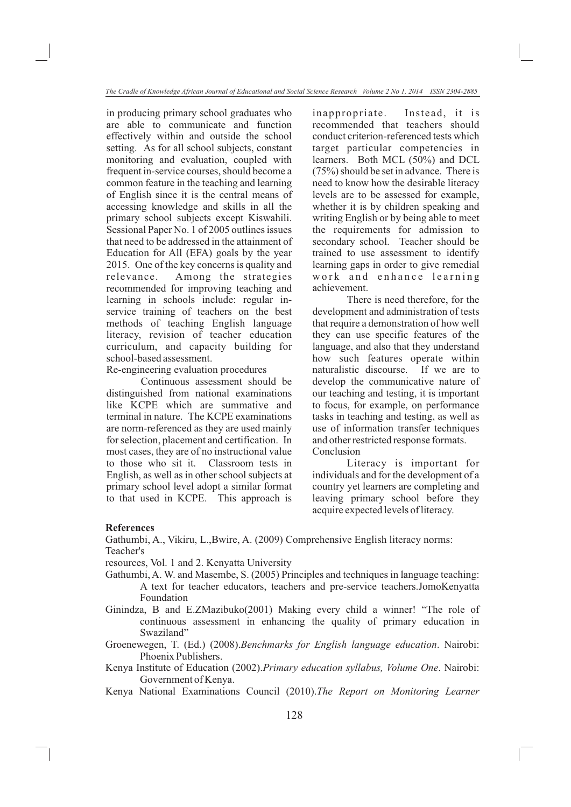in producing primary school graduates who are able to communicate and function effectively within and outside the school setting. As for all school subjects, constant monitoring and evaluation, coupled with frequent in-service courses, should become a common feature in the teaching and learning of English since it is the central means of accessing knowledge and skills in all the primary school subjects except Kiswahili. Sessional Paper No. 1 of 2005 outlines issues that need to be addressed in the attainment of Education for All (EFA) goals by the year 2015. One of the key concerns is quality and relevance. Among the strategies recommended for improving teaching and learning in schools include: regular inservice training of teachers on the best methods of teaching English language literacy, revision of teacher education curriculum, and capacity building for school-based assessment.

Re-engineering evaluation procedures

Continuous assessment should be distinguished from national examinations like KCPE which are summative and terminal in nature. The KCPE examinations are norm-referenced as they are used mainly for selection, placement and certification. In most cases, they are of no instructional value to those who sit it. Classroom tests in English, as well as in other school subjects at primary school level adopt a similar format to that used in KCPE. This approach is inappropriate. Instead, it is recommended that teachers should conduct criterion-referenced tests which target particular competencies in learners. Both MCL (50%) and DCL (75%) should be set in advance. There is need to know how the desirable literacy levels are to be assessed for example, whether it is by children speaking and writing English or by being able to meet the requirements for admission to secondary school. Teacher should be trained to use assessment to identify learning gaps in order to give remedial work and enhance learning achievement.

There is need therefore, for the development and administration of tests that require a demonstration of how well they can use specific features of the language, and also that they understand how such features operate within naturalistic discourse. If we are to develop the communicative nature of our teaching and testing, it is important to focus, for example, on performance tasks in teaching and testing, as well as use of information transfer techniques and other restricted response formats. Conclusion

Literacy is important for individuals and for the development of a country yet learners are completing and leaving primary school before they acquire expected levels of literacy.

# **References**

Gathumbi, A., Vikiru, L.,Bwire, A. (2009) Comprehensive English literacy norms: Teacher's

resources, Vol. 1 and 2. Kenyatta University

- Gathumbi, A. W. and Masembe, S. (2005) Principles and techniques in language teaching: A text for teacher educators, teachers and pre-service teachers.JomoKenyatta Foundation
- Ginindza, B and E.ZMazibuko(2001) Making every child a winner! "The role of continuous assessment in enhancing the quality of primary education in Swaziland"
- Groenewegen, T. (Ed.) (2008).*Benchmarks for English language education*. Nairobi: Phoenix Publishers.
- Kenya Institute of Education (2002).*Primary education syllabus, Volume One*. Nairobi: Government of Kenya.
- Kenya National Examinations Council (2010).*The Report on Monitoring Learner*